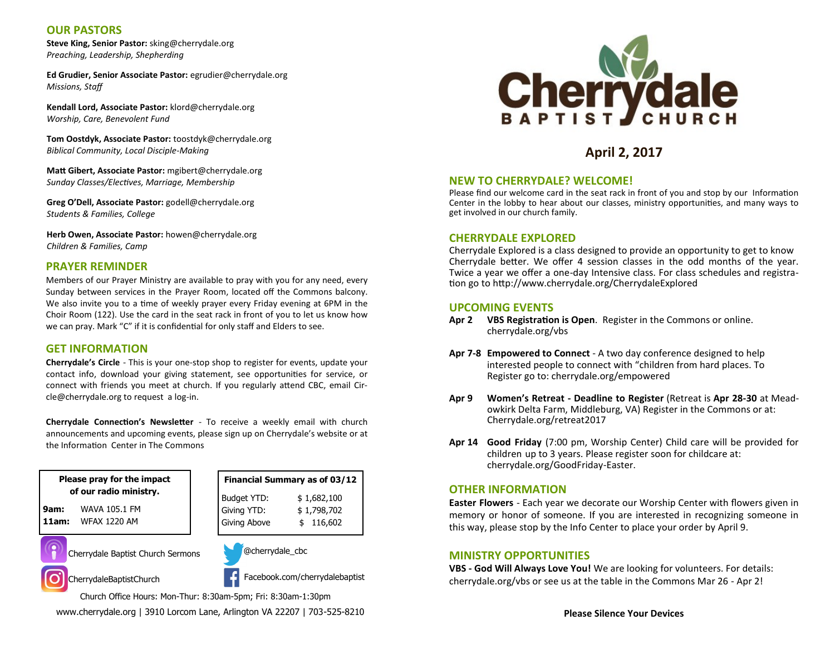## **OUR PASTORS**

**Steve King, Senior Pastor:** sking@cherrydale.org *Preaching, Leadership, Shepherding*

**Ed Grudier, Senior Associate Pastor:** egrudier@cherrydale.org *Missions, Staff*

**Kendall Lord, Associate Pastor:** klord@cherrydale.org *Worship, Care, Benevolent Fund*

**Tom Oostdyk, Associate Pastor:** toostdyk@cherrydale.org *Biblical Community, Local Disciple-Making*

**Matt Gibert, Associate Pastor:** mgibert@cherrydale.org *Sunday Classes/Electives, Marriage, Membership*

**Greg O'Dell, Associate Pastor:** godell@cherrydale.org *Students & Families, College*

**Herb Owen, Associate Pastor:** howen@cherrydale.org *Children & Families, Camp*

### **PRAYER REMINDER**

Members of our Prayer Ministry are available to pray with you for any need, every Sunday between services in the Prayer Room, located off the Commons balcony. We also invite you to a time of weekly prayer every Friday evening at 6PM in the Choir Room (122). Use the card in the seat rack in front of you to let us know how we can pray. Mark "C" if it is confidential for only staff and Elders to see.

#### **GET INFORMATION**

**Cherrydale's Circle** - This is your one-stop shop to register for events, update your contact info, download your giving statement, see opportunities for service, or connect with friends you meet at church. If you regularly attend CBC, email Circle@cherrydale.org to request a log-in.

**Cherrydale Connection's Newsletter** - To receive a weekly email with church announcements and upcoming events, please sign up on Cherrydale's website or at the Information Center in The Commons

**Please pray for the impact of our radio ministry.**

**9am:** WAVA 105.1 FM **11am:** WFAX 1220 AM





@cherrydale\_cbc

Facebook.com/cherrydalebaptist

Church Office Hours: Mon-Thur: 8:30am-5pm; Fri: 8:30am-1:30pm

www.cherrydale.org | 3910 Lorcom Lane, Arlington VA 22207 | 703-525-8210



# **April 2, 2017**

#### **NEW TO CHERRYDALE? WELCOME!**

Please find our welcome card in the seat rack in front of you and stop by our Information Center in the lobby to hear about our classes, ministry opportunities, and many ways to get involved in our church family.

#### **CHERRYDALE EXPLORED**

Cherrydale Explored is a class designed to provide an opportunity to get to know Cherrydale better. We offer 4 session classes in the odd months of the year. Twice a year we offer a one-day Intensive class. For class schedules and registration go to http://www.cherrydale.org/CherrydaleExplored

#### **UPCOMING EVENTS**

- **Apr 2 VBS Registration is Open**. Register in the Commons or online. cherrydale.org/vbs
- **Apr 7-8 Empowered to Connect**  A two day conference designed to help interested people to connect with "children from hard places. To Register go to: cherrydale.org/empowered
- **Apr 9 Women's Retreat - Deadline to Register** (Retreat is **Apr 28-30** at Meadowkirk Delta Farm, Middleburg, VA) Register in the Commons or at: Cherrydale.org/retreat2017
- **Apr 14 Good Friday** (7:00 pm, Worship Center) Child care will be provided for children up to 3 years. Please register soon for childcare at: cherrydale.org/GoodFriday-Easter.

#### **OTHER INFORMATION**

**Easter Flowers** - Each year we decorate our Worship Center with flowers given in memory or honor of someone. If you are interested in recognizing someone in this way, please stop by the Info Center to place your order by April 9.

#### **MINISTRY OPPORTUNITIES**

**VBS - God Will Always Love You!** We are looking for volunteers. For details: cherrydale.org/vbs or see us at the table in the Commons Mar 26 - Apr 2!





CherrydaleBaptistChurch